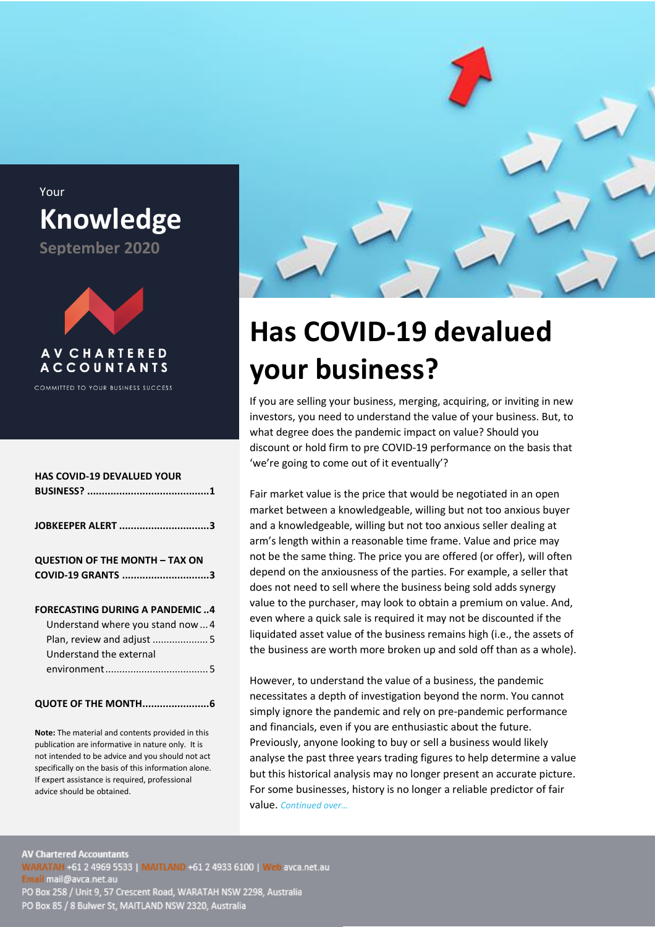

# <span id="page-0-0"></span>**Has COVID-19 devalued your business?**

If you are selling your business, merging, acquiring, or inviting in new investors, you need to understand the value of your business. But, to what degree does the pandemic impact on value? Should you discount or hold firm to pre COVID-19 performance on the basis that 'we're going to come out of it eventually'?

Fair market value is the price that would be negotiated in an open market between a knowledgeable, willing but not too anxious buyer and a knowledgeable, willing but not too anxious seller dealing at arm's length within a reasonable time frame. Value and price may not be the same thing. The price you are offered (or offer), will often depend on the anxiousness of the parties. For example, a seller that does not need to sell where the business being sold adds synergy value to the purchaser, may look to obtain a premium on value. And, even where a quick sale is required it may not be discounted if the liquidated asset value of the business remains high (i.e., the assets of the business are worth more broken up and sold off than as a whole).

However, to understand the value of a business, the pandemic necessitates a depth of investigation beyond the norm. You cannot simply ignore the pandemic and rely on pre-pandemic performance and financials, even if you are enthusiastic about the future. Previously, anyone looking to buy or sell a business would likely analyse the past three years trading figures to help determine a value but this historical analysis may no longer present an accurate picture. For some businesses, history is no longer a reliable predictor of fair value. *Continued over…*

Your **Knowledge September 2020**



**COMMITTED TO YOUR BUSINESS SUCCESS** 

| JOBKEEPER ALERT 3                     |
|---------------------------------------|
|                                       |
| COVID-19 GRANTS 3                     |
|                                       |
|                                       |
| <b>FORECASTING DURING A PANDEMIC4</b> |
| Understand where you stand now 4      |
| Plan, review and adjust  5            |
|                                       |
|                                       |
|                                       |
|                                       |

**Note:** The material and contents provided in this publication are informative in nature only. It is not intended to be advice and you should not act specifically on the basis of this information alone. If expert assistance is required, professional advice should be obtained.

**AV Chartered Accountants** WARATAH +61 2 4969 5533 | MAITLAND +61 2 4933 6100 | Web avca.net.au Email mail@avca.net.au PO Box 85 / 8 Bulwer St, MAITLAND NSW 2320, Australia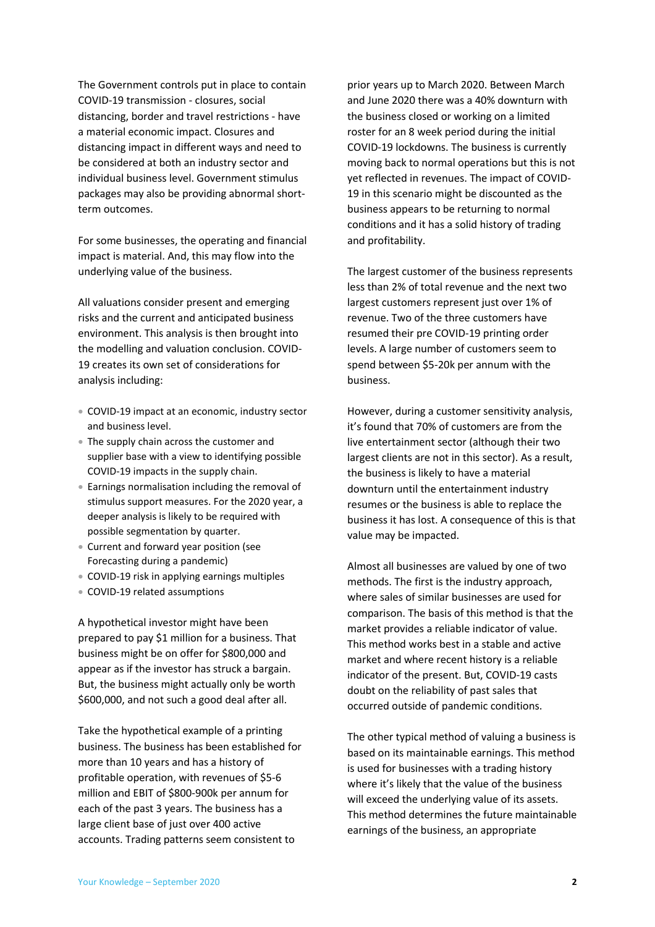The Government controls put in place to contain COVID-19 transmission - closures, social distancing, border and travel restrictions - have a material economic impact. Closures and distancing impact in different ways and need to be considered at both an industry sector and individual business level. Government stimulus packages may also be providing abnormal shortterm outcomes.

For some businesses, the operating and financial impact is material. And, this may flow into the underlying value of the business.

All valuations consider present and emerging risks and the current and anticipated business environment. This analysis is then brought into the modelling and valuation conclusion. COVID-19 creates its own set of considerations for analysis including:

- COVID-19 impact at an economic, industry sector and business level.
- The supply chain across the customer and supplier base with a view to identifying possible COVID-19 impacts in the supply chain.
- Earnings normalisation including the removal of stimulus support measures. For the 2020 year, a deeper analysis is likely to be required with possible segmentation by quarter.
- Current and forward year position (see Forecasting during a pandemic)
- COVID-19 risk in applying earnings multiples
- COVID-19 related assumptions

A hypothetical investor might have been prepared to pay \$1 million for a business. That business might be on offer for \$800,000 and appear as if the investor has struck a bargain. But, the business might actually only be worth \$600,000, and not such a good deal after all.

Take the hypothetical example of a printing business. The business has been established for more than 10 years and has a history of profitable operation, with revenues of \$5-6 million and EBIT of \$800-900k per annum for each of the past 3 years. The business has a large client base of just over 400 active accounts. Trading patterns seem consistent to

prior years up to March 2020. Between March and June 2020 there was a 40% downturn with the business closed or working on a limited roster for an 8 week period during the initial COVID-19 lockdowns. The business is currently moving back to normal operations but this is not yet reflected in revenues. The impact of COVID-19 in this scenario might be discounted as the business appears to be returning to normal conditions and it has a solid history of trading and profitability.

The largest customer of the business represents less than 2% of total revenue and the next two largest customers represent just over 1% of revenue. Two of the three customers have resumed their pre COVID-19 printing order levels. A large number of customers seem to spend between \$5-20k per annum with the business.

However, during a customer sensitivity analysis, it's found that 70% of customers are from the live entertainment sector (although their two largest clients are not in this sector). As a result, the business is likely to have a material downturn until the entertainment industry resumes or the business is able to replace the business it has lost. A consequence of this is that value may be impacted.

Almost all businesses are valued by one of two methods. The first is the industry approach, where sales of similar businesses are used for comparison. The basis of this method is that the market provides a reliable indicator of value. This method works best in a stable and active market and where recent history is a reliable indicator of the present. But, COVID-19 casts doubt on the reliability of past sales that occurred outside of pandemic conditions.

The other typical method of valuing a business is based on its maintainable earnings. This method is used for businesses with a trading history where it's likely that the value of the business will exceed the underlying value of its assets. This method determines the future maintainable earnings of the business, an appropriate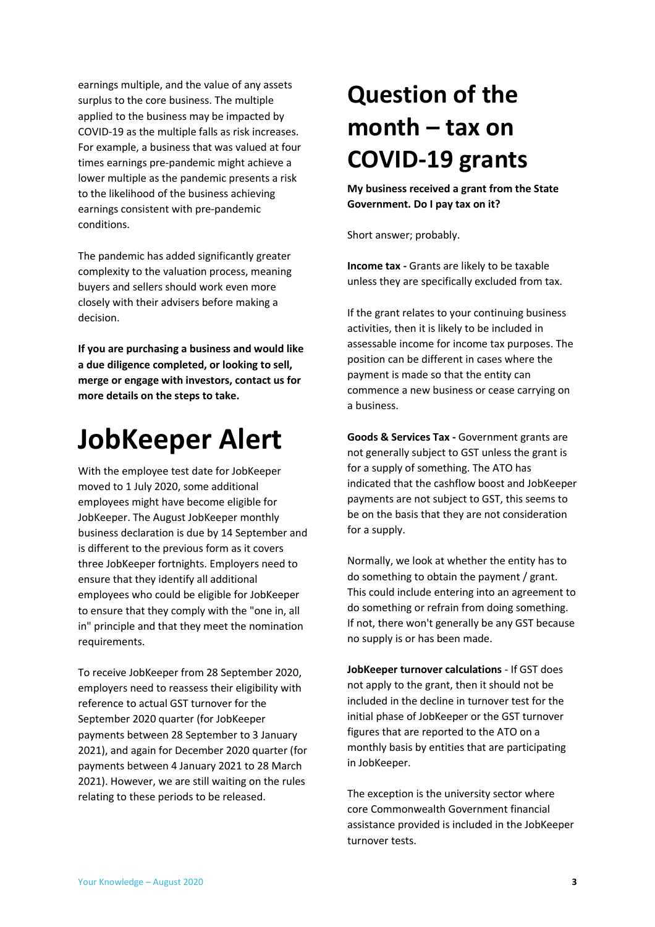earnings multiple, and the value of any assets surplus to the core business. The multiple applied to the business may be impacted by COVID-19 as the multiple falls as risk increases. For example, a business that was valued at four times earnings pre-pandemic might achieve a lower multiple as the pandemic presents a risk to the likelihood of the business achieving earnings consistent with pre-pandemic conditions.

The pandemic has added significantly greater complexity to the valuation process, meaning buyers and sellers should work even more closely with their advisers before making a decision.

**If you are purchasing a business and would like a due diligence completed, or looking to sell, merge or engage with investors, contact us for more details on the steps to take.**

### <span id="page-2-0"></span>**JobKeeper Alert**

With the employee test date for JobKeeper moved to 1 July 2020, some additional employees might have become eligible for JobKeeper. The August JobKeeper monthly business declaration is due by 14 September and is different to the previous form as it covers three JobKeeper fortnights. Employers need to ensure that they identify all additional employees who could be eligible for JobKeeper to ensure that they comply with the "one in, all in" principle and that they meet the nomination requirements.

To receive JobKeeper from 28 September 2020, employers need to reassess their eligibility with reference to actual GST turnover for the September 2020 quarter (for JobKeeper payments between 28 September to 3 January 2021), and again for December 2020 quarter (for payments between 4 January 2021 to 28 March 2021). However, we are still waiting on the rules relating to these periods to be released.

## <span id="page-2-1"></span>**Question of the month – tax on COVID-19 grants**

**My business received a grant from the State Government. Do I pay tax on it?**

Short answer; probably.

**Income tax -** Grants are likely to be taxable unless they are specifically excluded from tax.

If the grant relates to your continuing business activities, then it is likely to be included in assessable income for income tax purposes. The position can be different in cases where the payment is made so that the entity can commence a new business or cease carrying on a business.

**Goods & Services Tax -** Government grants are not generally subject to GST unless the grant is for a supply of something. The ATO has indicated that the cashflow boost and JobKeeper payments are not subject to GST, this seems to be on the basis that they are not consideration for a supply.

Normally, we look at whether the entity has to do something to obtain the payment / grant. This could include entering into an agreement to do something or refrain from doing something. If not, there won't generally be any GST because no supply is or has been made.

**JobKeeper turnover calculations** - If GST does not apply to the grant, then it should not be included in the decline in turnover test for the initial phase of JobKeeper or the GST turnover figures that are reported to the ATO on a monthly basis by entities that are participating in JobKeeper.

The exception is the university sector where core Commonwealth Government financial assistance provided is included in the JobKeeper turnover tests.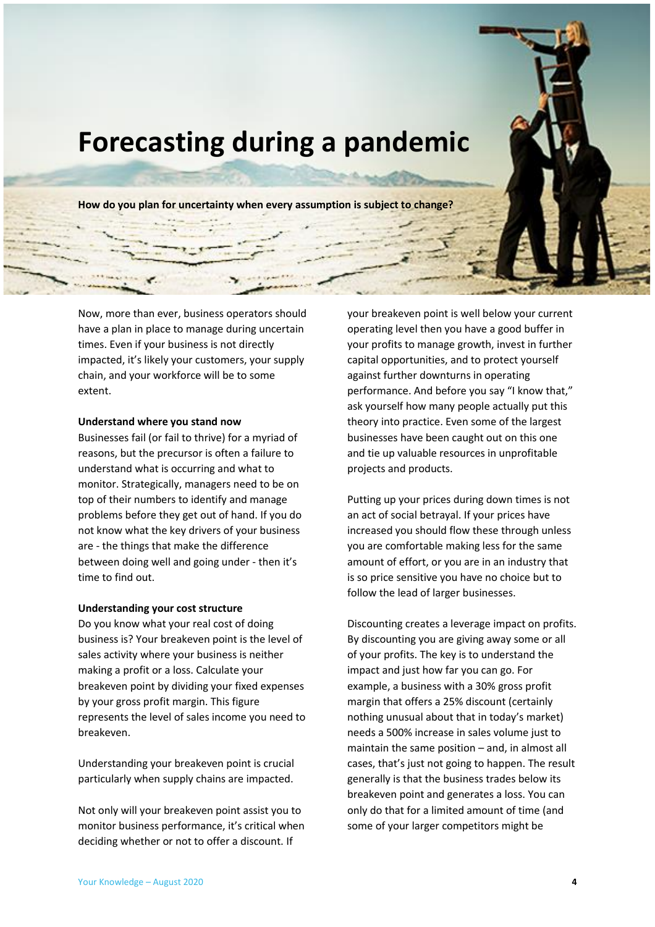<span id="page-3-0"></span>

Now, more than ever, business operators should have a plan in place to manage during uncertain times. Even if your business is not directly impacted, it's likely your customers, your supply chain, and your workforce will be to some extent.

#### <span id="page-3-1"></span>**Understand where you stand now**

Businesses fail (or fail to thrive) for a myriad of reasons, but the precursor is often a failure to understand what is occurring and what to monitor. Strategically, managers need to be on top of their numbers to identify and manage problems before they get out of hand. If you do not know what the key drivers of your business are - the things that make the difference between doing well and going under - then it's time to find out.

#### **Understanding your cost structure**

Do you know what your real cost of doing business is? Your breakeven point is the level of sales activity where your business is neither making a profit or a loss. Calculate your breakeven point by dividing your fixed expenses by your gross profit margin. This figure represents the level of sales income you need to breakeven.

Understanding your breakeven point is crucial particularly when supply chains are impacted.

Not only will your breakeven point assist you to monitor business performance, it's critical when deciding whether or not to offer a discount. If

your breakeven point is well below your current operating level then you have a good buffer in your profits to manage growth, invest in further capital opportunities, and to protect yourself against further downturns in operating performance. And before you say "I know that," ask yourself how many people actually put this theory into practice. Even some of the largest businesses have been caught out on this one and tie up valuable resources in unprofitable projects and products.

Putting up your prices during down times is not an act of social betrayal. If your prices have increased you should flow these through unless you are comfortable making less for the same amount of effort, or you are in an industry that is so price sensitive you have no choice but to follow the lead of larger businesses.

Discounting creates a leverage impact on profits. By discounting you are giving away some or all of your profits. The key is to understand the impact and just how far you can go. For example, a business with a 30% gross profit margin that offers a 25% discount (certainly nothing unusual about that in today's market) needs a 500% increase in sales volume just to maintain the same position – and, in almost all cases, that's just not going to happen. The result generally is that the business trades below its breakeven point and generates a loss. You can only do that for a limited amount of time (and some of your larger competitors might be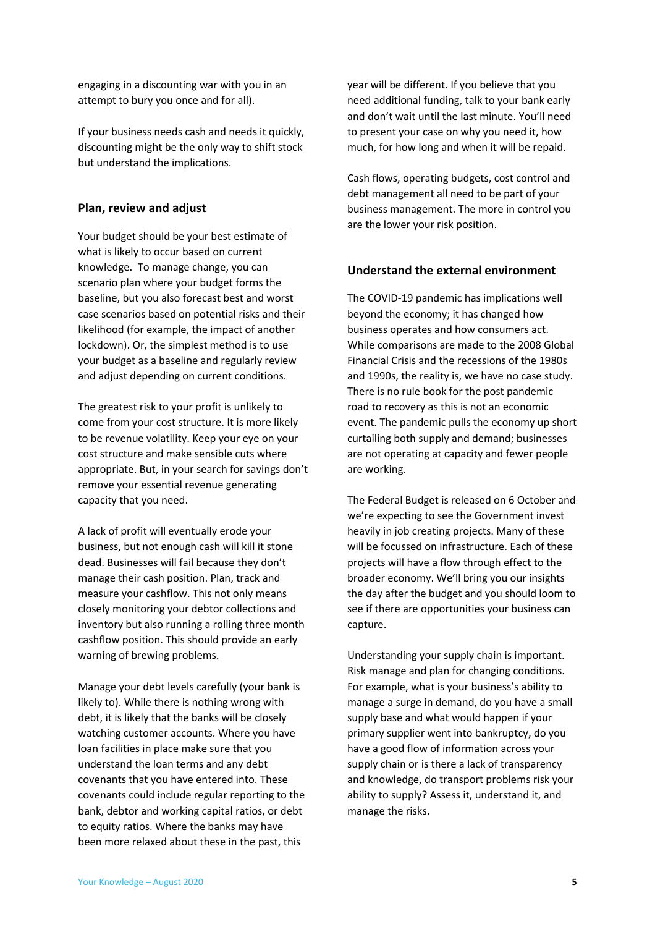engaging in a discounting war with you in an attempt to bury you once and for all).

If your business needs cash and needs it quickly, discounting might be the only way to shift stock but understand the implications.

#### <span id="page-4-0"></span>**Plan, review and adjust**

Your budget should be your best estimate of what is likely to occur based on current knowledge. To manage change, you can scenario plan where your budget forms the baseline, but you also forecast best and worst case scenarios based on potential risks and their likelihood (for example, the impact of another lockdown). Or, the simplest method is to use your budget as a baseline and regularly review and adjust depending on current conditions.

The greatest risk to your profit is unlikely to come from your cost structure. It is more likely to be revenue volatility. Keep your eye on your cost structure and make sensible cuts where appropriate. But, in your search for savings don't remove your essential revenue generating capacity that you need.

A lack of profit will eventually erode your business, but not enough cash will kill it stone dead. Businesses will fail because they don't manage their cash position. Plan, track and measure your cashflow. This not only means closely monitoring your debtor collections and inventory but also running a rolling three month cashflow position. This should provide an early warning of brewing problems.

Manage your debt levels carefully (your bank is likely to). While there is nothing wrong with debt, it is likely that the banks will be closely watching customer accounts. Where you have loan facilities in place make sure that you understand the loan terms and any debt covenants that you have entered into. These covenants could include regular reporting to the bank, debtor and working capital ratios, or debt to equity ratios. Where the banks may have been more relaxed about these in the past, this

year will be different. If you believe that you need additional funding, talk to your bank early and don't wait until the last minute. You'll need to present your case on why you need it, how much, for how long and when it will be repaid.

Cash flows, operating budgets, cost control and debt management all need to be part of your business management. The more in control you are the lower your risk position.

#### <span id="page-4-1"></span>**Understand the external environment**

The COVID-19 pandemic has implications well beyond the economy; it has changed how business operates and how consumers act. While comparisons are made to the 2008 Global Financial Crisis and the recessions of the 1980s and 1990s, the reality is, we have no case study. There is no rule book for the post pandemic road to recovery as this is not an economic event. The pandemic pulls the economy up short curtailing both supply and demand; businesses are not operating at capacity and fewer people are working.

The Federal Budget is released on 6 October and we're expecting to see the Government invest heavily in job creating projects. Many of these will be focussed on infrastructure. Each of these projects will have a flow through effect to the broader economy. We'll bring you our insights the day after the budget and you should loom to see if there are opportunities your business can capture.

Understanding your supply chain is important. Risk manage and plan for changing conditions. For example, what is your business's ability to manage a surge in demand, do you have a small supply base and what would happen if your primary supplier went into bankruptcy, do you have a good flow of information across your supply chain or is there a lack of transparency and knowledge, do transport problems risk your ability to supply? Assess it, understand it, and manage the risks.